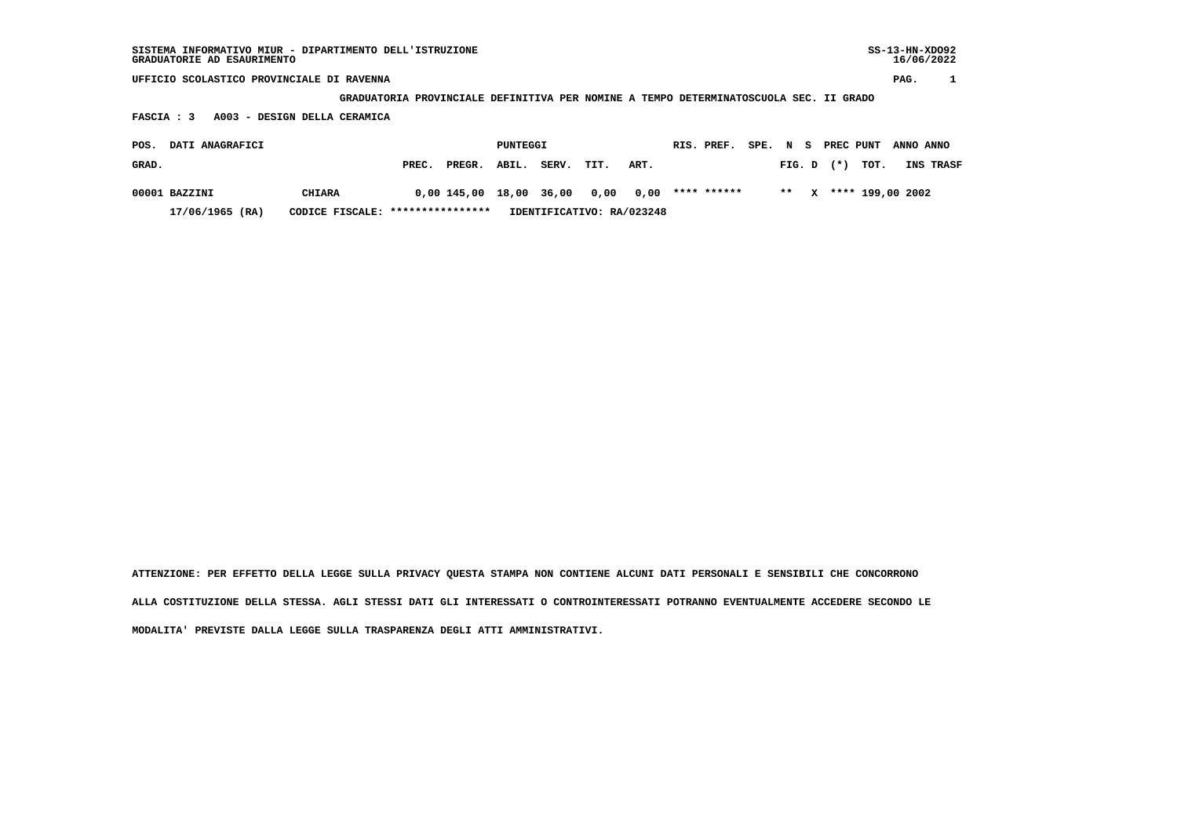| $SS-13-HN-XDO92$<br>SISTEMA INFORMATIVO MIUR - DIPARTIMENTO DELL'ISTRUZIONE<br>GRADUATORIE AD ESAURIMENTO |                                           |                           |                                                                                       |                                |           |  |  |  |  |  |  |  |  |  |  |
|-----------------------------------------------------------------------------------------------------------|-------------------------------------------|---------------------------|---------------------------------------------------------------------------------------|--------------------------------|-----------|--|--|--|--|--|--|--|--|--|--|
|                                                                                                           | UFFICIO SCOLASTICO PROVINCIALE DI RAVENNA |                           |                                                                                       |                                |           |  |  |  |  |  |  |  |  |  |  |
|                                                                                                           |                                           |                           | GRADUATORIA PROVINCIALE DEFINITIVA PER NOMINE A TEMPO DETERMINATOSCUOLA SEC. II GRADO |                                |           |  |  |  |  |  |  |  |  |  |  |
| A003 - DESIGN DELLA CERAMICA<br>FASCIA : 3                                                                |                                           |                           |                                                                                       |                                |           |  |  |  |  |  |  |  |  |  |  |
| DATI ANAGRAFICI<br>POS.                                                                                   | RIS. PREF.<br>SPE.                        | PREC PUNT<br>N S          | ANNO ANNO                                                                             |                                |           |  |  |  |  |  |  |  |  |  |  |
| GRAD.                                                                                                     | PREC.<br>PREGR.                           | ABIL.<br>SERV.<br>TIT.    | ART.                                                                                  | $(* )$<br>TOT.<br>FIG. D       | INS TRASF |  |  |  |  |  |  |  |  |  |  |
| 00001 BAZZINI<br><b>CHIARA</b>                                                                            | 0,00 145,00                               | 36,00<br>18,00<br>0,00    | **** ******<br>0,00                                                                   | **** 199,00 2002<br>$* *$<br>x |           |  |  |  |  |  |  |  |  |  |  |
| 17/06/1965 (RA)                                                                                           | CODICE FISCALE: ****************          | IDENTIFICATIVO: RA/023248 |                                                                                       |                                |           |  |  |  |  |  |  |  |  |  |  |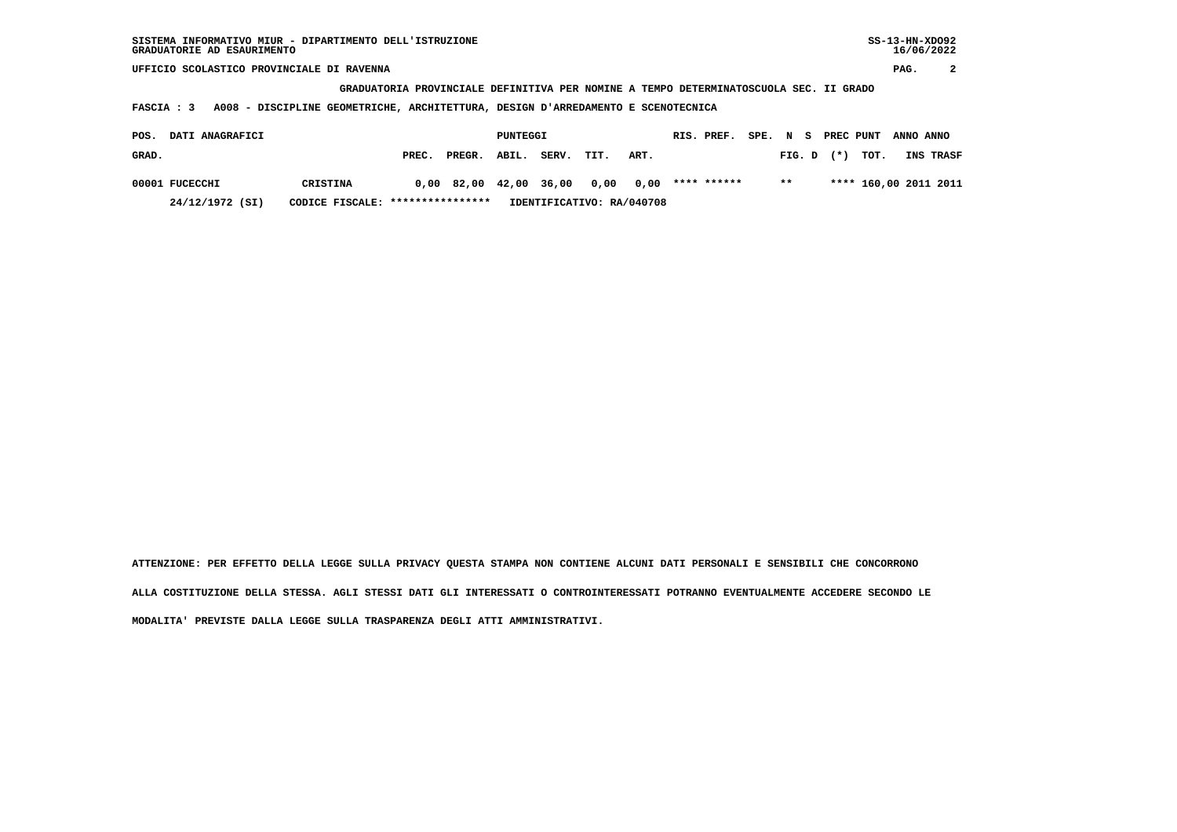**UFFICIO SCOLASTICO PROVINCIALE DI RAVENNA PAG. 2**

 **GRADUATORIA PROVINCIALE DEFINITIVA PER NOMINE A TEMPO DETERMINATOSCUOLA SEC. II GRADO**

 **FASCIA : 3 A008 - DISCIPLINE GEOMETRICHE, ARCHITETTURA, DESIGN D'ARREDAMENTO E SCENOTECNICA**

| <b>DATI ANAGRAFICI</b><br>POS. |                 |                                  |       |                                    | PUNTEGGI |       | RIS. PREF.                |      |             | SPE. N S PREC PUNT ANNO ANNO |  |                       |                  |
|--------------------------------|-----------------|----------------------------------|-------|------------------------------------|----------|-------|---------------------------|------|-------------|------------------------------|--|-----------------------|------------------|
| GRAD.                          |                 |                                  | PREC. | PREGR. ABIL.                       |          | SERV. | TIT.                      | ART. |             |                              |  | FIG. D $(*)$ TOT.     | <b>INS TRASF</b> |
|                                | 00001 FUCECCHI  | CRISTINA                         |       | $0.00$ 82.00 42.00 36.00 0.00 0.00 |          |       |                           |      | **** ****** | $***$                        |  | **** 160,00 2011 2011 |                  |
|                                | 24/12/1972 (SI) | CODICE FISCALE: **************** |       |                                    |          |       | IDENTIFICATIVO: RA/040708 |      |             |                              |  |                       |                  |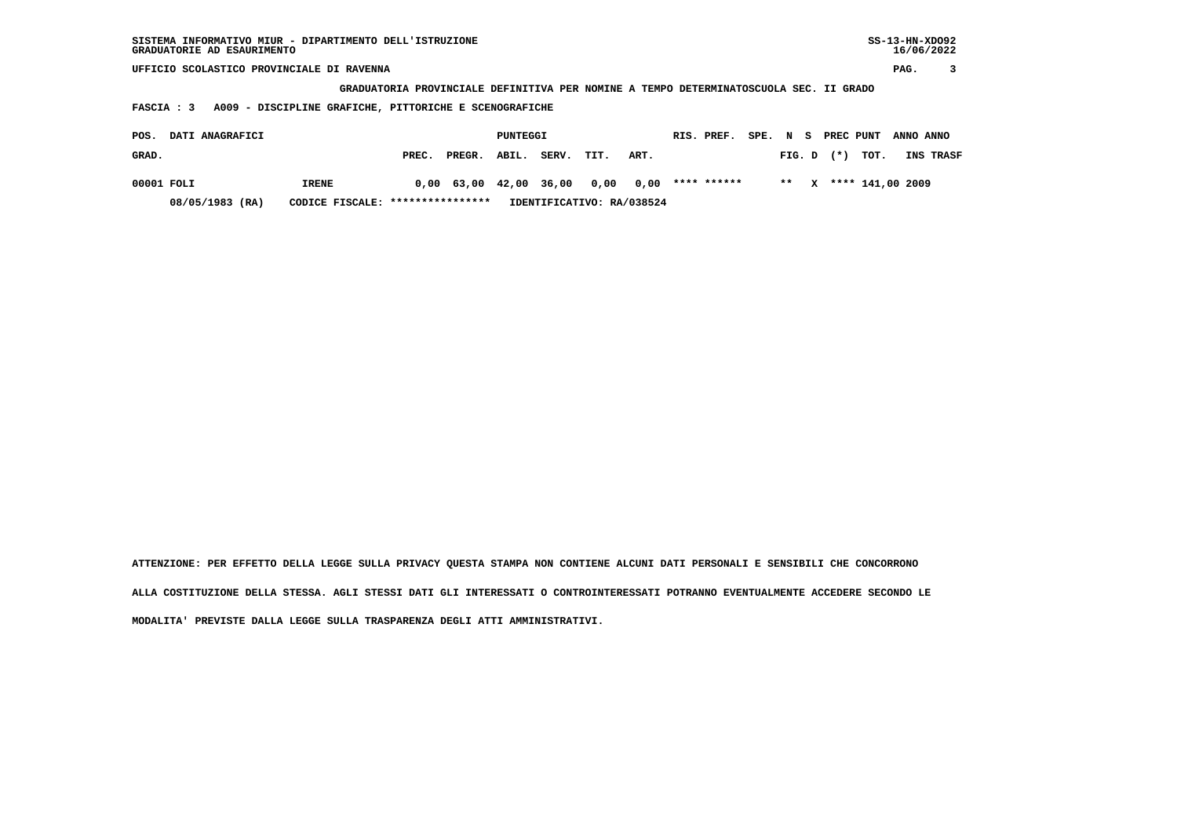| SISTEMA INFORMATIVO MIUR - DIPARTIMENTO DELL'ISTRUZIONE<br>GRADUATORIE AD ESAURIMENTO |                  |        |          |       |      |                           |  |             |          |        |   |           |                  | $SS-13-HN-XDO92$<br>16/06/2022 |           |  |  |
|---------------------------------------------------------------------------------------|------------------|--------|----------|-------|------|---------------------------|--|-------------|----------|--------|---|-----------|------------------|--------------------------------|-----------|--|--|
| UFFICIO SCOLASTICO PROVINCIALE DI RAVENNA                                             |                  |        |          |       |      |                           |  |             |          |        |   |           |                  |                                | 3         |  |  |
| GRADUATORIA PROVINCIALE DEFINITIVA PER NOMINE A TEMPO DETERMINATOSCUOLA SEC. II GRADO |                  |        |          |       |      |                           |  |             |          |        |   |           |                  |                                |           |  |  |
| A009 - DISCIPLINE GRAFICHE, PITTORICHE E SCENOGRAFICHE<br><b>FASCIA : 3</b>           |                  |        |          |       |      |                           |  |             |          |        |   |           |                  |                                |           |  |  |
|                                                                                       |                  |        |          |       |      |                           |  |             |          |        |   |           |                  |                                |           |  |  |
| DATI ANAGRAFICI<br>POS.                                                               |                  |        | PUNTEGGI |       |      |                           |  | RIS. PREF.  | SPE. N S |        |   | PREC PUNT |                  | ANNO ANNO                      |           |  |  |
| GRAD.                                                                                 | PREC.            | PREGR. | ABIL.    | SERV. | TIT. | ART.                      |  |             |          | FIG. D |   | $(*)$     | TOT.             |                                | INS TRASF |  |  |
| 00001 FOLI<br><b>IRENE</b>                                                            | 0,00             | 63,00  | 42,00    | 36,00 | 0,00 | 0,00                      |  | **** ****** |          | $* *$  | x |           | **** 141,00 2009 |                                |           |  |  |
| 08/05/1983 (RA)<br>CODICE FISCALE:                                                    | **************** |        |          |       |      | IDENTIFICATIVO: RA/038524 |  |             |          |        |   |           |                  |                                |           |  |  |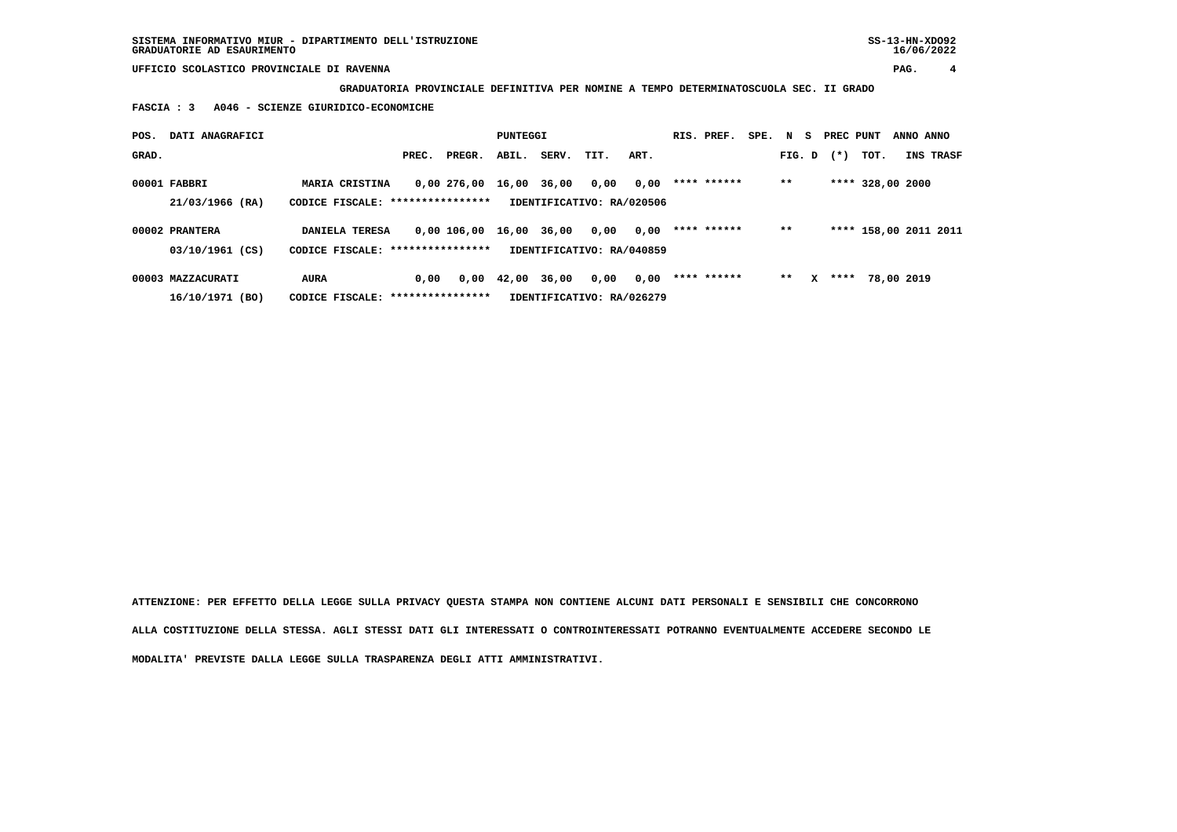**UFFICIO SCOLASTICO PROVINCIALE DI RAVENNA PAG. 4**

 **GRADUATORIA PROVINCIALE DEFINITIVA PER NOMINE A TEMPO DETERMINATOSCUOLA SEC. II GRADO**

 **FASCIA : 3 A046 - SCIENZE GIURIDICO-ECONOMICHE**

| POS.  | DATI ANAGRAFICI                                                                   |                                   |       |             |             | PUNTEGGI |                           |      |  |             | SPE. N S |        |   | PREC PUNT |                       | ANNO ANNO  |                  |
|-------|-----------------------------------------------------------------------------------|-----------------------------------|-------|-------------|-------------|----------|---------------------------|------|--|-------------|----------|--------|---|-----------|-----------------------|------------|------------------|
| GRAD. |                                                                                   |                                   | PREC. | PREGR.      | ABIL.       | SERV.    | TIT.                      | ART. |  |             |          | FIG. D |   | $(*)$     | тот.                  |            | <b>INS TRASF</b> |
|       | 00001 FABBRI                                                                      | <b>MARIA CRISTINA</b>             |       | 0,00 276,00 | 16,00 36,00 |          | 0,00                      | 0,00 |  | **** ****** |          | $***$  |   |           | **** 328,00 2000      |            |                  |
|       | 21/03/1966 (RA)<br>CODICE FISCALE: *****************<br>IDENTIFICATIVO: RA/020506 |                                   |       |             |             |          |                           |      |  |             |          |        |   |           |                       |            |                  |
|       | 00002 PRANTERA                                                                    | DANIELA TERESA                    |       | 0,00 106,00 | 16,00       | 36,00    | 0,00                      | 0,00 |  | **** ****** |          | $* *$  |   |           | **** 158,00 2011 2011 |            |                  |
|       | 03/10/1961 (CS)                                                                   | CODICE FISCALE: ****************  |       |             |             |          | IDENTIFICATIVO: RA/040859 |      |  |             |          |        |   |           |                       |            |                  |
|       | 00003 MAZZACURATI                                                                 | <b>AURA</b>                       | 0.00  | 0,00        | 42,00       | 36,00    | 0,00                      | 0,00 |  | **** ****** |          | $* *$  | x | ****      |                       | 78,00 2019 |                  |
|       | 16/10/1971 (BO)                                                                   | CODICE FISCALE: ***************** |       |             |             |          | IDENTIFICATIVO: RA/026279 |      |  |             |          |        |   |           |                       |            |                  |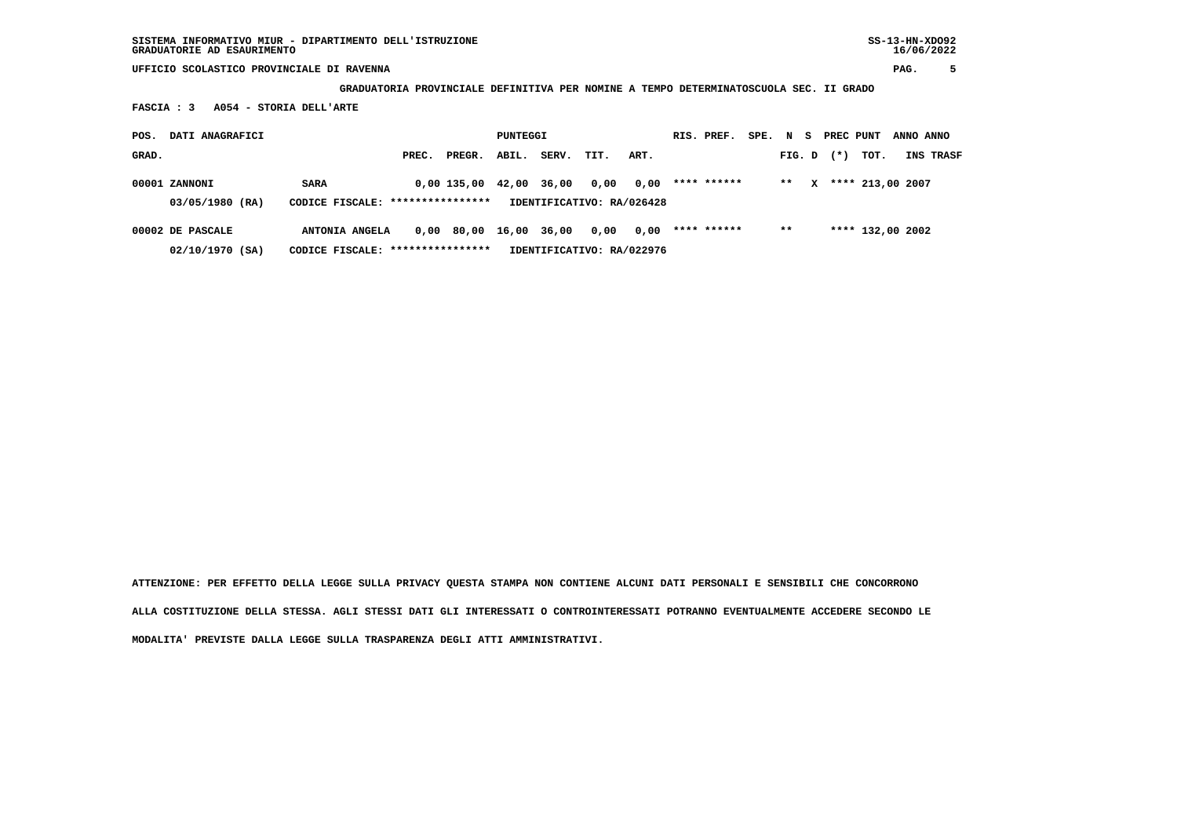**UFFICIO SCOLASTICO PROVINCIALE DI RAVENNA PAG. 5**

 **GRADUATORIA PROVINCIALE DEFINITIVA PER NOMINE A TEMPO DETERMINATOSCUOLA SEC. II GRADO**

 **FASCIA : 3 A054 - STORIA DELL'ARTE**

| POS.  | DATI ANAGRAFICI  |                                   |       |             |       | PUNTEGGI |                           |      |  | RIS. PREF.  | SPE. N S |        |   | PREC PUNT |                  | ANNO ANNO |                  |
|-------|------------------|-----------------------------------|-------|-------------|-------|----------|---------------------------|------|--|-------------|----------|--------|---|-----------|------------------|-----------|------------------|
| GRAD. |                  |                                   | PREC. | PREGR.      | ABIL. | SERV.    | TIT.                      | ART. |  |             |          | FIG. D |   | $(*)$     | тот.             |           | <b>INS TRASF</b> |
|       | 00001 ZANNONI    | <b>SARA</b>                       |       | 0,00 135,00 | 42,00 | 36,00    | 0,00                      | 0,00 |  | **** ****** |          | $* *$  | x |           | **** 213,00 2007 |           |                  |
|       | 03/05/1980 (RA)  | CODICE FISCALE: ****************  |       |             |       |          | IDENTIFICATIVO: RA/026428 |      |  |             |          |        |   |           |                  |           |                  |
|       | 00002 DE PASCALE | ANTONIA ANGELA                    |       | 0,00 80,00  | 16,00 | 36,00    | 0,00                      | 0,00 |  | **** ****** |          | $***$  |   |           | **** 132,00 2002 |           |                  |
|       | 02/10/1970 (SA)  | CODICE FISCALE: ***************** |       |             |       |          | IDENTIFICATIVO: RA/022976 |      |  |             |          |        |   |           |                  |           |                  |